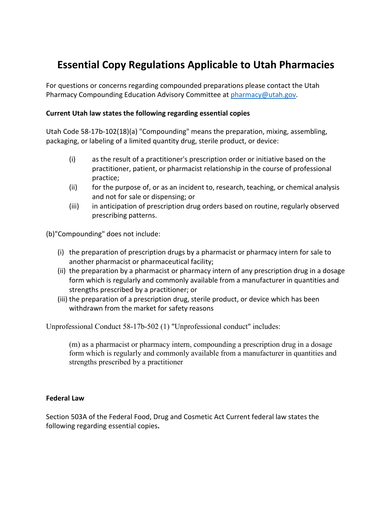## **Essential Copy Regulations Applicable to Utah Pharmacies**

For questions or concerns regarding compounded preparations please contact the Utah Pharmacy Compounding Education Advisory Committee at [pharmacy@utah.gov.](mailto:pharmacy@utah.gov)

## **Current Utah law states the following regarding essential copies**

Utah Code 58-17b-102(18)(a) "Compounding" means the preparation, mixing, assembling, packaging, or labeling of a limited quantity drug, sterile product, or device:

- (i) as the result of a practitioner's prescription order or initiative based on the practitioner, patient, or pharmacist relationship in the course of professional practice;
- (ii) for the purpose of, or as an incident to, research, teaching, or chemical analysis and not for sale or dispensing; or
- (iii) in anticipation of prescription drug orders based on routine, regularly observed prescribing patterns.

(b)"Compounding" does not include:

- (i) the preparation of prescription drugs by a pharmacist or pharmacy intern for sale to another pharmacist or pharmaceutical facility;
- (ii) the preparation by a pharmacist or pharmacy intern of any prescription drug in a dosage form which is regularly and commonly available from a manufacturer in quantities and strengths prescribed by a practitioner; or
- (iii) the preparation of a prescription drug, sterile product, or device which has been withdrawn from the market for safety reasons

Unprofessional Conduct 58-17b-502 (1) "Unprofessional conduct" includes:

(m) as a pharmacist or pharmacy intern, compounding a prescription drug in a dosage form which is regularly and commonly available from a manufacturer in quantities and strengths prescribed by a practitioner

## **Federal Law**

Section 503A of the Federal Food, Drug and Cosmetic Act Current federal law states the following regarding essential copies**.**